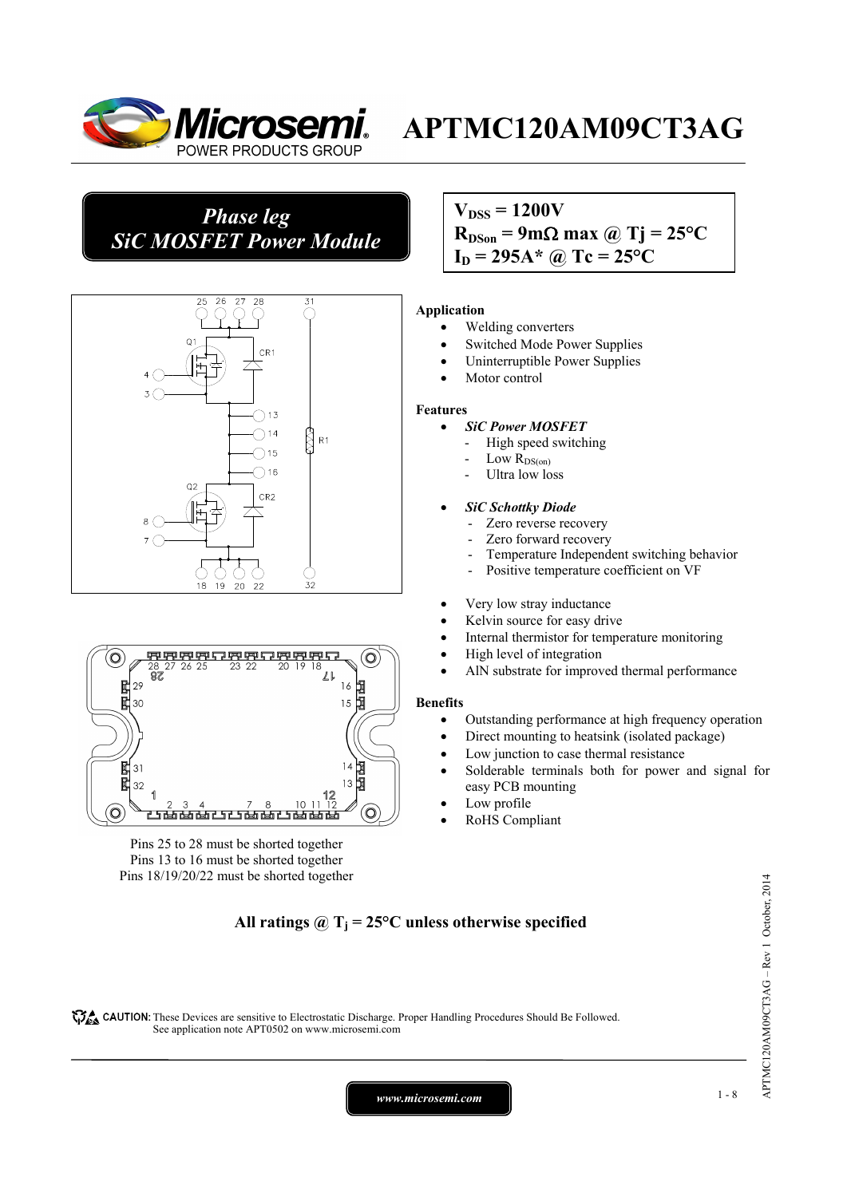

## *Phase leg SiC MOSFET Power Module*



#### (O  $\mathbb{Z}^2$  $R<sub>7</sub>$ 固固 陚 29  $16$ 闏  $15$ 30 甲甲 掴  $31$  $13$ 围 32 10 Ó <u> 15 ta ta ta 115 ta ta 115 ta ta ta</u>  $\circ$

Pins 25 to 28 must be shorted together Pins 13 to 16 must be shorted together Pins 18/19/20/22 must be shorted together

## $V_{\text{DSS}} = 1200V$

 $R_{DSon}$  = 9m $\Omega$  max @ Tj = 25<sup>o</sup>C  $I_D = 295A^*$  @ Tc = 25<sup>o</sup>C

## **Application**

- Welding converters
- Switched Mode Power Supplies
- Uninterruptible Power Supplies
- Motor control

## **Features**

- *SiC Power MOSFET*
	- High speed switching
	- Low  $R_{DS(on)}$
	- Ultra low loss

## • *SiC Schottky Diode*

- Zero reverse recovery
- Zero forward recovery
- Temperature Independent switching behavior
- Positive temperature coefficient on VF
- Very low stray inductance
- Kelvin source for easy drive
- Internal thermistor for temperature monitoring
- High level of integration
- AlN substrate for improved thermal performance

## **Benefits**

- Outstanding performance at high frequency operation
- Direct mounting to heatsink (isolated package)
- Low junction to case thermal resistance
- Solderable terminals both for power and signal for easy PCB mounting
- Low profile
- RoHS Compliant

## All ratings  $\omega_{\text{I}} = 25^{\circ}\text{C}$  unless otherwise specified

CAUTION: These Devices are sensitive to Electrostatic Discharge. Proper Handling Procedures Should Be Followed. See application note APT0502 on www.microsemi.com

*www.microsemi.com* 1-8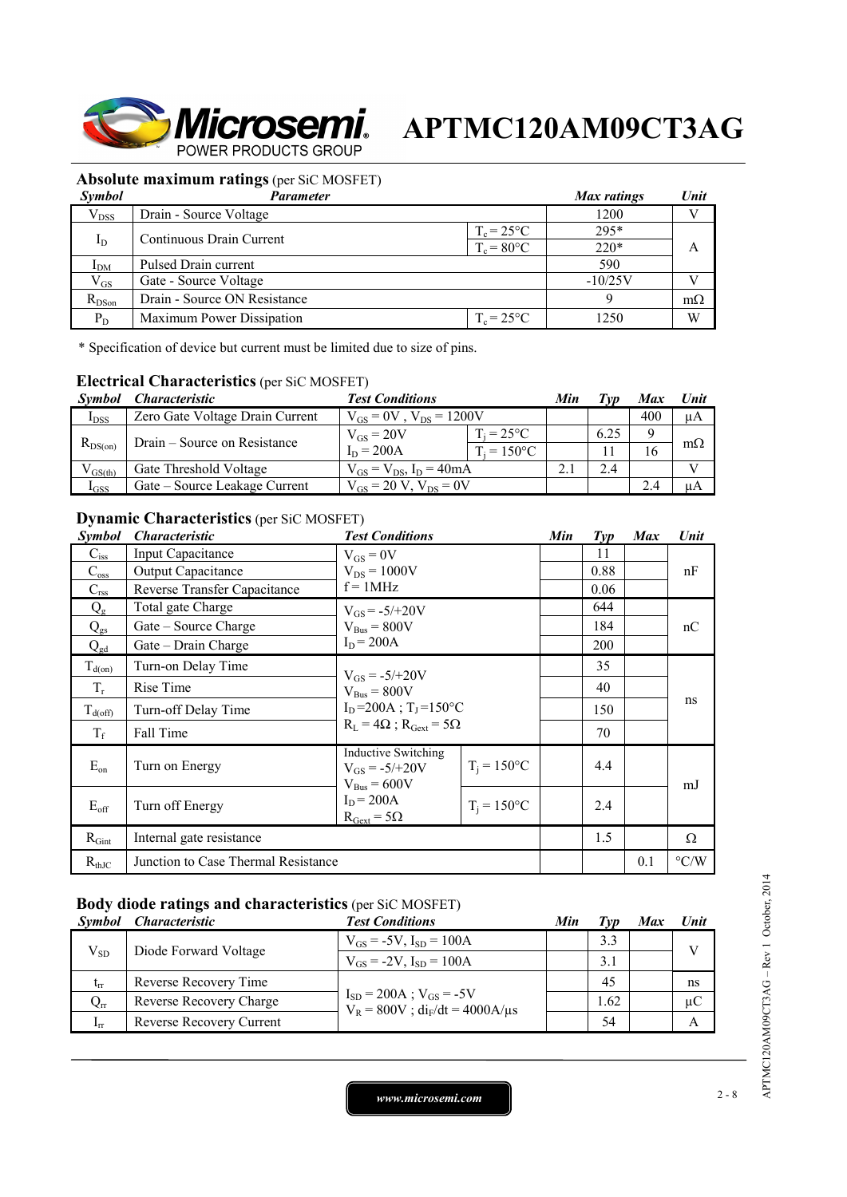

## **Absolute maximum ratings** (per SiC MOSFET)

| <i>Symbol</i> | Parameter                    |                     | Max ratings | Unit      |
|---------------|------------------------------|---------------------|-------------|-----------|
| $V_{DSS}$     | Drain - Source Voltage       |                     | 1200        |           |
|               | Continuous Drain Current     | $T_c = 25^{\circ}C$ | $295*$      |           |
| $_{\rm I_D}$  |                              | $T_c = 80$ °C       | $220*$      |           |
| $I_{DM}$      | Pulsed Drain current         |                     | 590         |           |
| $V_{GS}$      | Gate - Source Voltage        |                     | $-10/25V$   |           |
| $R_{DSon}$    | Drain - Source ON Resistance |                     |             | $m\Omega$ |
| $P_D$         | Maximum Power Dissipation    | $T_c = 25$ °C       | 1250        | W         |

\* Specification of device but current must be limited due to size of pins.

## **Electrical Characteristics** (per SiC MOSFET)

| <i>Symbol</i> | <i>Characteristic</i>           | <b>Test Conditions</b>           |                      | Min | l vn | Max | Unit      |
|---------------|---------------------------------|----------------------------------|----------------------|-----|------|-----|-----------|
| $I_{DSS}$     | Zero Gate Voltage Drain Current | $V_{GS} = 0V$ , $V_{DS} = 1200V$ |                      |     | 400  | μA  |           |
| $R_{DS(on)}$  | Drain – Source on Resistance    | $V_{GS} = 20V$                   | $T_i = 25^{\circ}C$  |     | 6.25 |     |           |
|               |                                 | $I_D = 200A$                     | $T_i = 150^{\circ}C$ |     |      | 16  | $m\Omega$ |
| $V_{GS(th)}$  | Gate Threshold Voltage          | $V_{GS} = V_{DS}$ , $I_D = 40mA$ |                      |     | 2.4  |     | T         |
| $I_{GSS}$     | Gate – Source Leakage Current   | $V_{gs} = 20 V$ , $V_{ps} = 0V$  |                      |     |      | 2.4 | uА        |

## **Dynamic Characteristics** (per SiC MOSFET)

| <b>Symbol</b>    | <i><b>Characteristic</b></i>        | <b>Test Conditions</b>                                               |                | Min | $\mathcal{I}yp$ | <b>Max</b> | Unit               |
|------------------|-------------------------------------|----------------------------------------------------------------------|----------------|-----|-----------------|------------|--------------------|
| $C_{\rm iss}$    | Input Capacitance                   | $V_{GS} = 0V$                                                        |                |     | 11              |            |                    |
| $C_{\rm oss}$    | <b>Output Capacitance</b>           | $V_{DS} = 1000V$                                                     |                |     | 0.88            |            | nF                 |
| $C_{\text{rss}}$ | Reverse Transfer Capacitance        | $f = 1MHz$                                                           |                |     | 0.06            |            |                    |
| $Q_{\rm g}$      | Total gate Charge                   | $V_{GS} = -5/+20V$                                                   |                |     | 644             |            |                    |
| $Q_{gs}$         | Gate – Source Charge                | $V_{Bus} = 800V$                                                     |                |     | 184             |            | nC                 |
| $Q_{gd}$         | Gate – Drain Charge                 | $I_D = 200A$                                                         |                |     | 200             |            |                    |
| $T_{d(0n)}$      | Turn-on Delay Time                  | $V_{GS} = -5/+20V$                                                   |                |     | 35              |            |                    |
| $T_r$            | Rise Time                           | $V_{Bus} = 800V$<br>$I_D = 200A$ ; $T_I = 150^{\circ}C$              |                |     | 40              |            | ns                 |
| $T_{d(off)}$     | Turn-off Delay Time                 |                                                                      |                |     | 150             |            |                    |
| $T_f$            | Fall Time                           | $R_L = 4\Omega$ ; $R_{Gext} = 5\Omega$                               |                |     | 70              |            |                    |
| $E_{on}$         | Turn on Energy                      | <b>Inductive Switching</b><br>$V_{GS} = -5/+20V$<br>$V_{Bus} = 600V$ | $T_i = 150$ °C |     | 4.4             |            | mJ                 |
| $E_{\rm off}$    | Turn off Energy                     | $I_D = 200A$<br>$R_{\text{Gext}} = 5\Omega$                          | $T_i = 150$ °C |     | 2.4             |            |                    |
| $R_{Gint}$       | Internal gate resistance            |                                                                      |                |     | 1.5             |            | Ω                  |
| $R_{thJC}$       | Junction to Case Thermal Resistance |                                                                      |                |     |                 | 0.1        | $\rm ^{\circ} C/W$ |

## **Body diode ratings and characteristics** (per SiC MOSFET)

|                 | Symbol Characteristic    | <b>Test Conditions</b>                                                  | Min | Tvp  | Max | <b>Unit</b>  |
|-----------------|--------------------------|-------------------------------------------------------------------------|-----|------|-----|--------------|
| $V_{SD}$        | Diode Forward Voltage    | $V_{GS} = -5V$ , $I_{SD} = 100A$                                        |     | 3.3  |     | $\mathbf{V}$ |
|                 |                          | $V_{GS} = -2V$ , $I_{SD} = 100A$                                        |     | 3.1  |     |              |
| $t_{rr}$        | Reverse Recovery Time    | $I_{SD} = 200A$ ; $V_{GS} = -5V$<br>$V_R = 800V$ ; $di_F/dt = 4000A/µs$ |     | 45   |     | ns           |
| $Q_{rr}$        | Reverse Recovery Charge  |                                                                         |     | 1.62 |     | $\mu C$      |
| 1 <sub>rr</sub> | Reverse Recovery Current |                                                                         |     | 54   |     | А            |

APTMC120AM09CT3AG - Rev 1 October, 2014 APTMC120AM09CT3AG – Rev 1 October, 2014

*www.microsemi.com* 2-8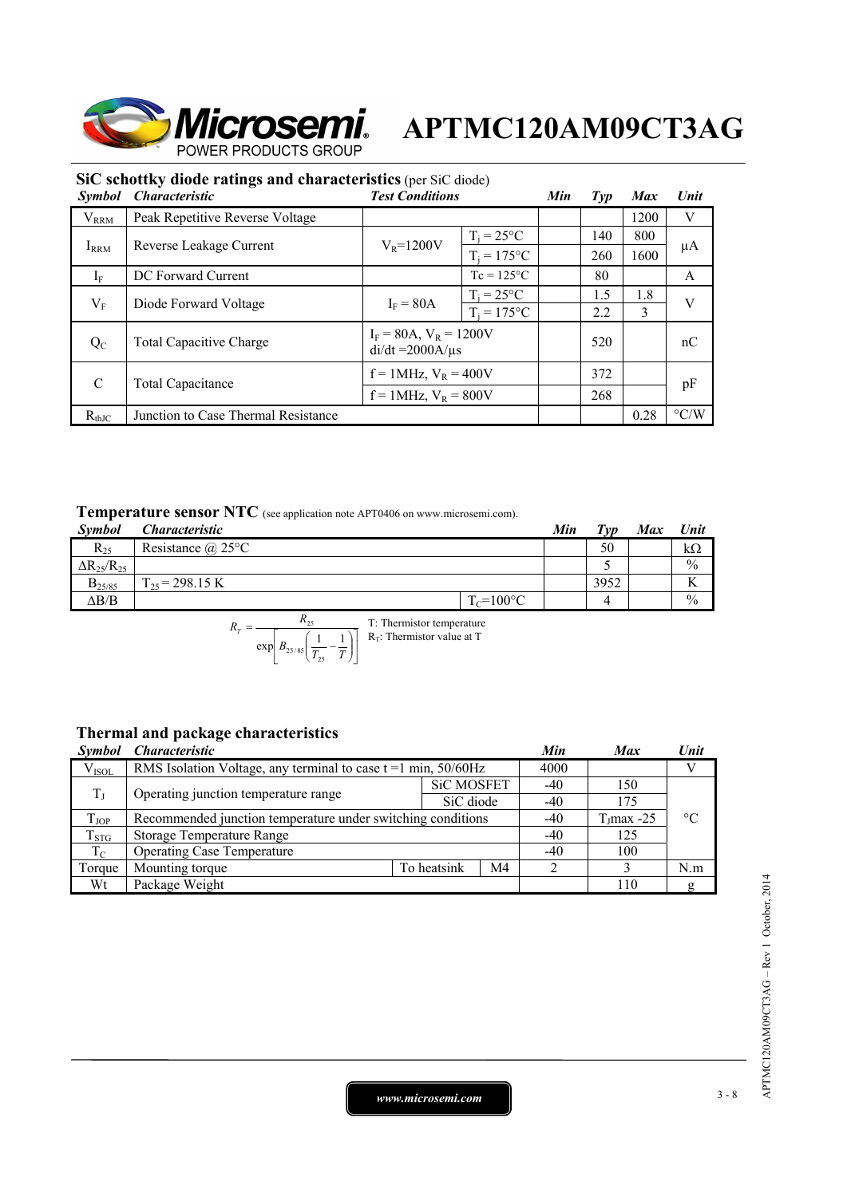

| SIC schottky diode ratings and characteristics (per SiC diode) |                                     |                                                        |                     |  |                 |            |                    |  |  |
|----------------------------------------------------------------|-------------------------------------|--------------------------------------------------------|---------------------|--|-----------------|------------|--------------------|--|--|
| <i>Symbol</i>                                                  | <i><b>Characteristic</b></i>        | <b>Test Conditions</b>                                 |                     |  | $\mathcal{I}yp$ | <b>Max</b> | Unit               |  |  |
| $V_{RRM}$                                                      | Peak Repetitive Reverse Voltage     |                                                        |                     |  |                 | 1200       | V                  |  |  |
|                                                                | Reverse Leakage Current             | $V_R = 1200V$                                          | $T_i = 25^{\circ}C$ |  | 140             | 800        |                    |  |  |
| $I_{\rm RRM}$                                                  |                                     |                                                        | $T_i = 175$ °C      |  | 260             | 1600       | μA                 |  |  |
| $I_{\rm F}$                                                    | DC Forward Current                  | $Tc = 125$ °C                                          |                     |  | 80              |            | A                  |  |  |
|                                                                | Diode Forward Voltage               | $I_F = 80A$                                            | $T_i = 25^{\circ}C$ |  | 1.5             | 1.8        | V                  |  |  |
| $\rm V_F$                                                      |                                     |                                                        | $T_i = 175$ °C      |  | 2.2             | 3          |                    |  |  |
| $Q_{C}$                                                        | <b>Total Capacitive Charge</b>      | $I_F = 80A$ , $V_R = 1200V$<br>$di/dt = 2000A/\mu s$   |                     |  | 520             |            | nC                 |  |  |
| $\mathcal{C}$                                                  | <b>Total Capacitance</b>            | $f = 1$ MHz, $V_R = 400V$<br>$f = 1$ MHz, $V_R = 800V$ |                     |  | 372             |            |                    |  |  |
|                                                                |                                     |                                                        |                     |  | 268             |            | pF                 |  |  |
| $R_{thJC}$                                                     | Junction to Case Thermal Resistance |                                                        |                     |  |                 | 0.28       | $\rm ^{\circ} C/W$ |  |  |

## **SiC schottky diode ratings and characteristics** (per SiC diode)

## **Temperature sensor NTC** (see application note APT0406 on www.microsemi.com).

| <b>Symbol</b>          | .<br><i><b>Characteristic</b></i> |                | Min | Tvp  | <b>Max</b> | Unit          |
|------------------------|-----------------------------------|----------------|-----|------|------------|---------------|
| $R_{25}$               | Resistance $(a)$ 25°C             |                |     | 50   |            | kΩ            |
| $\Delta R_{25}/R_{25}$ |                                   |                |     |      |            | $\frac{0}{0}$ |
| $B_{25/85}$            | $\Gamma_{25}$ = 298.15 K          |                |     | 3952 |            | <b>Y</b><br>л |
| $\Delta B/B$           |                                   | $T_c = 100$ °C |     |      |            | $\frac{0}{0}$ |

$$
R_T = \frac{R_{25}}{\exp\left[B_{25/85}\left(\frac{1}{T_{25}} - \frac{1}{T}\right)\right]}
$$
 T: Thermistor temperature

## **Thermal and package characteristics**

| <i><b>Symbol</b></i> | <i><b>Characteristic</b></i>                                        |             |                   | Min | <b>Max</b>    | Unit            |
|----------------------|---------------------------------------------------------------------|-------------|-------------------|-----|---------------|-----------------|
| $V_{ISOL}$           | RMS Isolation Voltage, any terminal to case $t = 1$ min, $50/60$ Hz |             |                   |     |               |                 |
| $T_{\rm J}$          | Operating junction temperature range                                |             | <b>SiC MOSFET</b> |     | 150           |                 |
|                      |                                                                     |             | SiC diode         | -40 | 175           |                 |
| $T_{JOP}$            | Recommended junction temperature under switching conditions         |             |                   |     | $T_1$ max -25 | $\rm ^{\circ}C$ |
| $T_{STG}$            | Storage Temperature Range                                           |             |                   |     | 125           |                 |
| $T_{\rm C}$          | <b>Operating Case Temperature</b>                                   | $-40$       | 100               |     |               |                 |
| Torque               | Mounting torque                                                     | To heatsink | M4                |     |               | N.m             |
| Wt                   | Package Weight                                                      |             |                   |     | 110           | g               |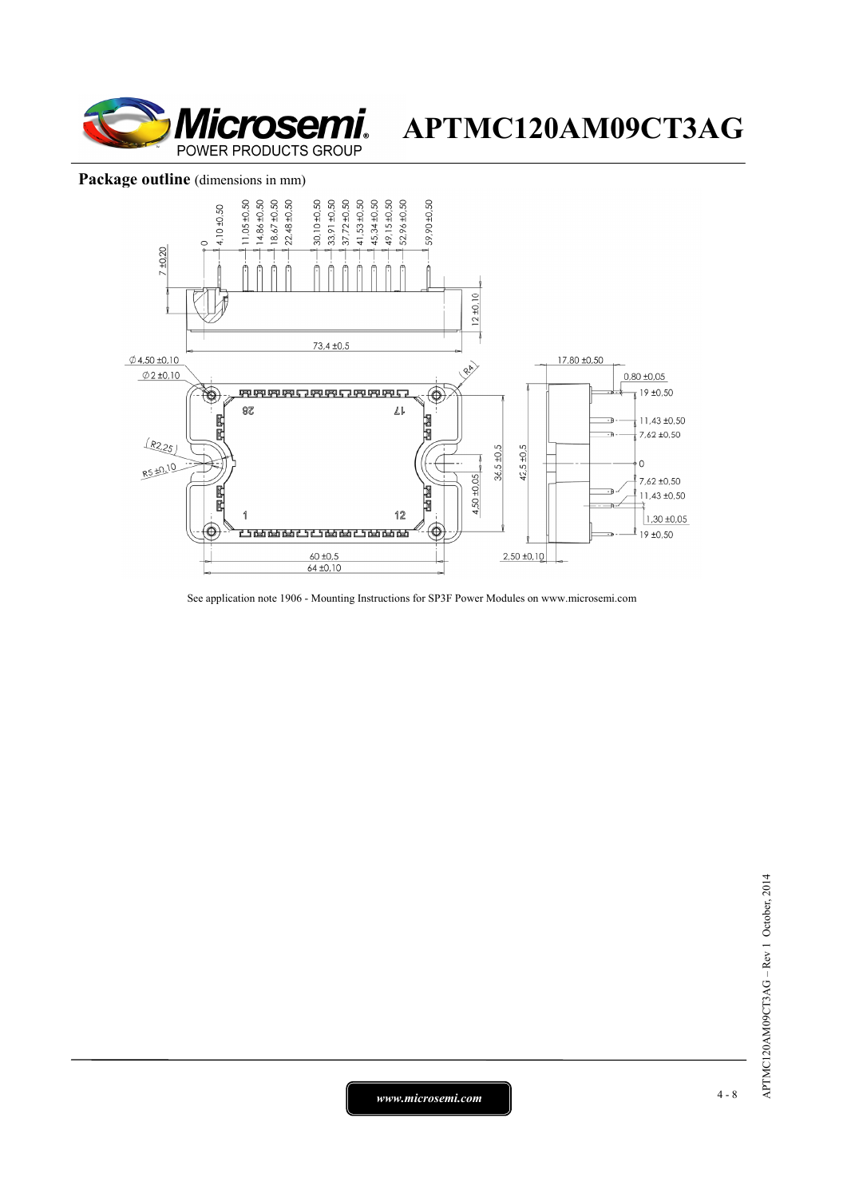

## Package outline (dimensions in mm)



See application note 1906 - Mounting Instructions for SP3F Power Modules on www.microsemi.com

*www.microsemi.com* 4-8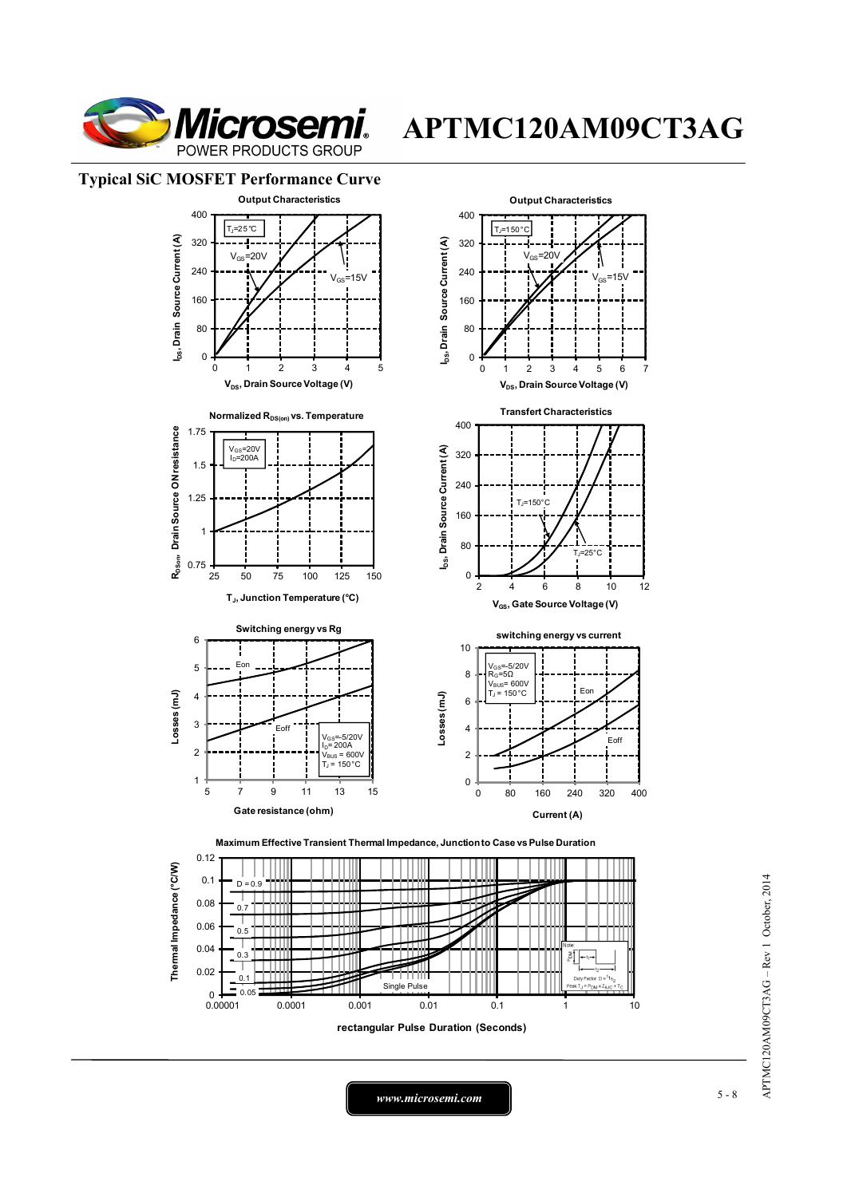

## **Typical SiC MOSFET Performance Curve**



**rectangular Pulse Duration (Seconds)**

APTMC120AM09CT3AG - Rev 1 October, 2014 APTMC120AM09CT3AG – Rev 1 October, 2014

*www.microsemi.com* 5-8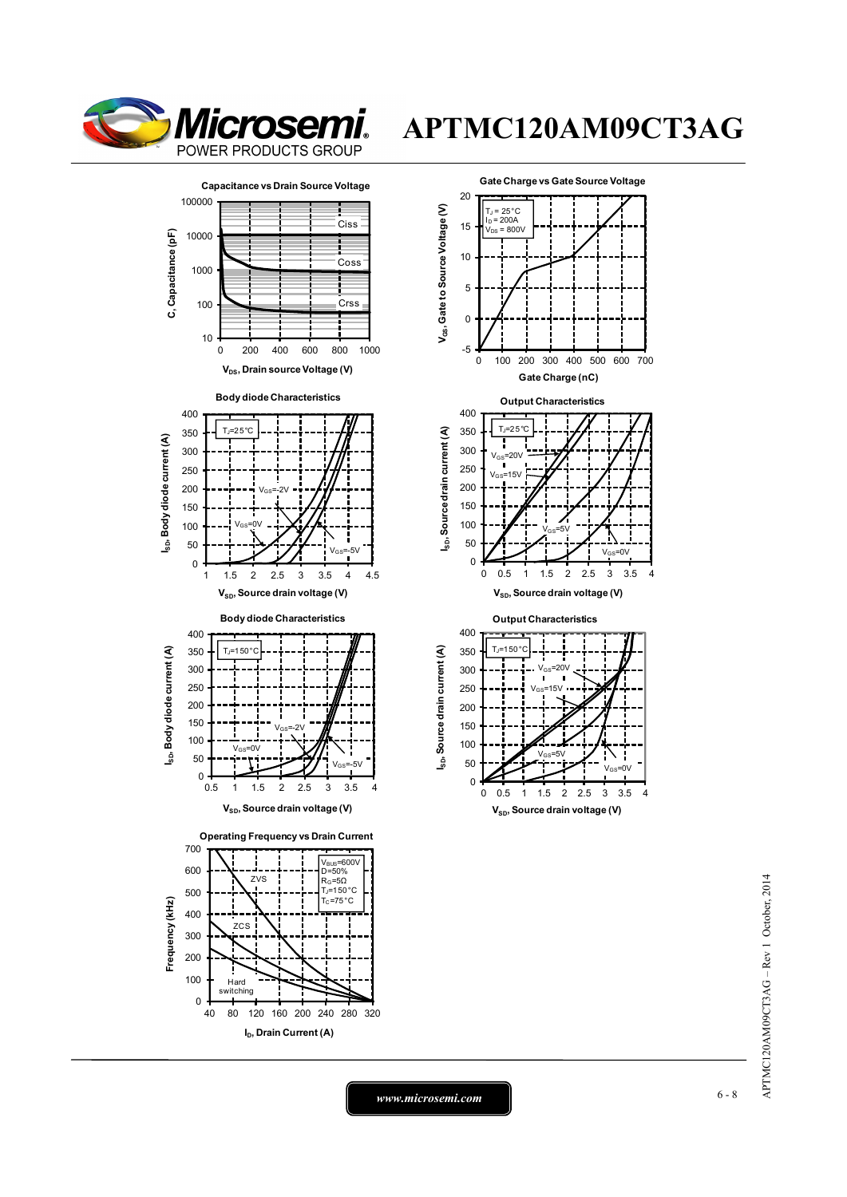





# APTMC120AM09CT3AG - Rev 1 October, 2014 APTMC120AM09CT3AG – Rev 1 October, 2014

*www.microsemi.com* 6-8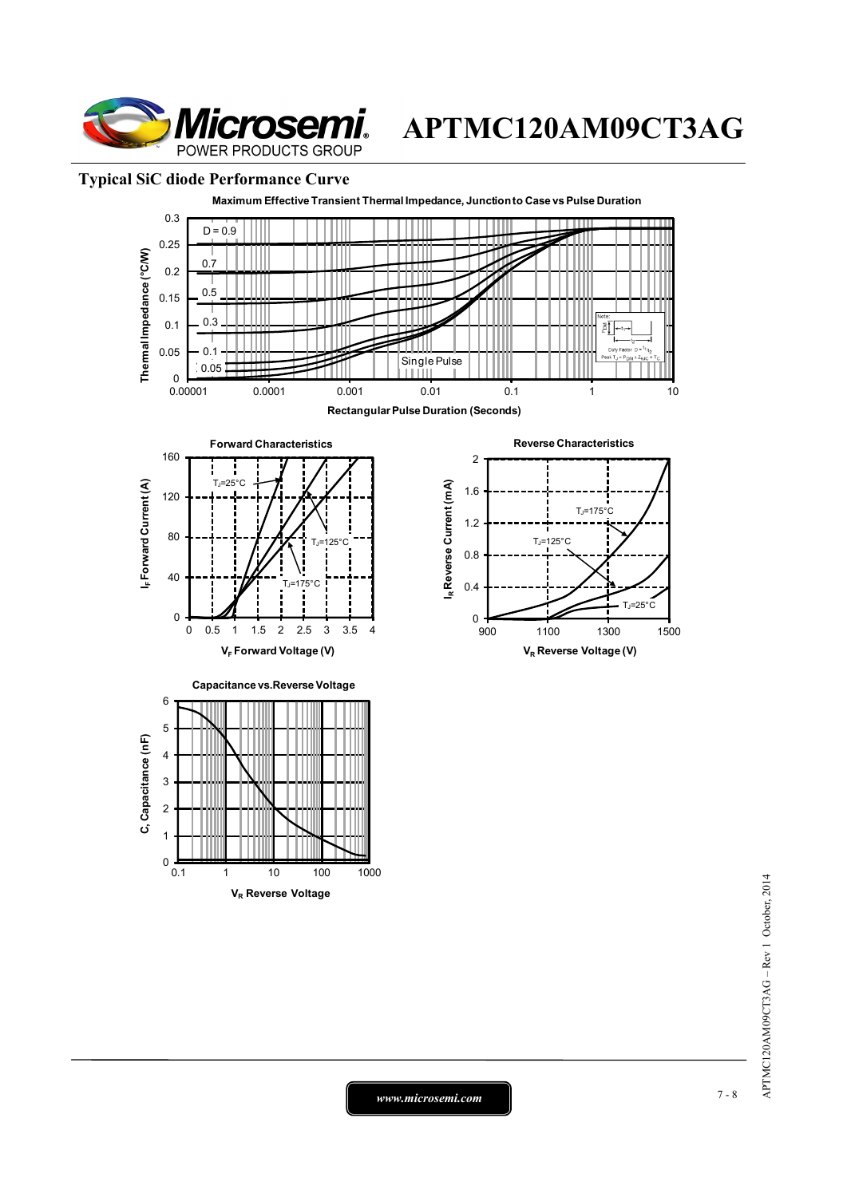

## **Typical SiC diode Performance Curve**



APTMC120AM09CT3AG - Rev 1 October, 2014 APTMC120AM09CT3AG – Rev 1 October, 2014

*www.microsemi.com* 7-8